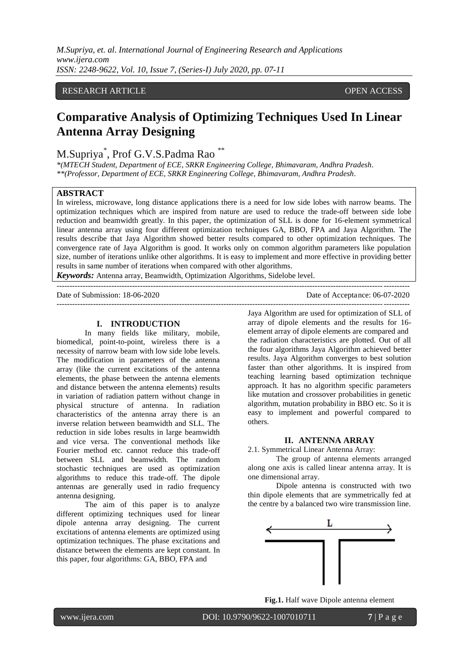*M.Supriya, et. al. International Journal of Engineering Research and Applications www.ijera.com ISSN: 2248-9622, Vol. 10, Issue 7, (Series-I) July 2020, pp. 07-11*

# RESEARCH ARTICLE **CONTRACT OPEN ACCESS**

# **Comparative Analysis of Optimizing Techniques Used In Linear Antenna Array Designing**

# M.Supriya\* , Prof G.V.S.Padma Rao \*\*

*\*(MTECH Student, Department of ECE, SRKR Engineering College, Bhimavaram, Andhra Pradesh. \*\*(Professor, Department of ECE, SRKR Engineering College, Bhimavaram, Andhra Pradesh.*

### **ABSTRACT**

In wireless, microwave, long distance applications there is a need for low side lobes with narrow beams. The optimization techniques which are inspired from nature are used to reduce the trade-off between side lobe reduction and beamwidth greatly. In this paper, the optimization of SLL is done for 16-element symmetrical linear antenna array using four different optimization techniques GA, BBO, FPA and Jaya Algorithm. The results describe that Jaya Algorithm showed better results compared to other optimization techniques. The convergence rate of Jaya Algorithm is good. It works only on common algorithm parameters like population size, number of iterations unlike other algorithms. It is easy to implement and more effective in providing better results in same number of iterations when compared with other algorithms.

---------------------------------------------------------------------------------------------------------------------------------------

---------------------------------------------------------------------------------------------------------------------------------------

*Keywords:* Antenna array, Beamwidth, Optimization Algorithms, Sidelobe level.

Date of Submission: 18-06-2020 Date of Acceptance: 06-07-2020

#### **I. INTRODUCTION**

In many fields like military, mobile, biomedical, point-to-point, wireless there is a necessity of narrow beam with low side lobe levels. The modification in parameters of the antenna array (like the current excitations of the antenna elements, the phase between the antenna elements and distance between the antenna elements) results in variation of radiation pattern without change in physical structure of antenna. In radiation characteristics of the antenna array there is an inverse relation between beamwidth and SLL. The reduction in side lobes results in large beamwidth and vice versa. The conventional methods like Fourier method etc. cannot reduce this trade-off between SLL and beamwidth. The random stochastic techniques are used as optimization algorithms to reduce this trade-off. The dipole antennas are generally used in radio frequency antenna designing.

The aim of this paper is to analyze different optimizing techniques used for linear dipole antenna array designing. The current excitations of antenna elements are optimized using optimization techniques. The phase excitations and distance between the elements are kept constant. In this paper, four algorithms: GA, BBO, FPA and

Jaya Algorithm are used for optimization of SLL of array of dipole elements and the results for 16 element array of dipole elements are compared and the radiation characteristics are plotted. Out of all the four algorithms Jaya Algorithm achieved better results. Jaya Algorithm converges to best solution faster than other algorithms. It is inspired from teaching learning based optimization technique approach. It has no algorithm specific parameters like mutation and crossover probabilities in genetic algorithm, mutation probability in BBO etc. So it is easy to implement and powerful compared to others.

#### **II. ANTENNA ARRAY**

2.1. Symmetrical Linear Antenna Array:

The group of antenna elements arranged along one axis is called linear antenna array. It is one dimensional array.

Dipole antenna is constructed with two thin dipole elements that are symmetrically fed at the centre by a balanced two wire transmission line.



**Fig.1.** Half wave Dipole antenna element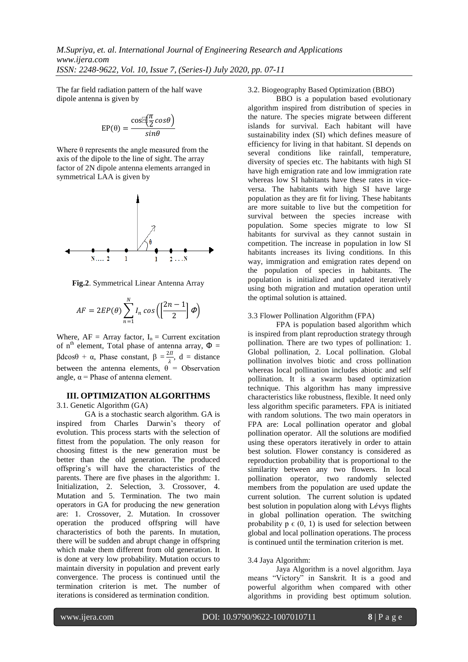The far field radiation pattern of the half wave dipole antenna is given by

$$
EP(\theta) = \frac{\cos \pi(\frac{\pi}{2} \cos \theta)}{\sin \theta}
$$

Where  $\theta$  represents the angle measured from the axis of the dipole to the line of sight. The array factor of 2N dipole antenna elements arranged in symmetrical LAA is given by



**Fig.2**. Symmetrical Linear Antenna Array

$$
AF = 2EP(\theta) \sum_{n=1}^{N} I_n \cos \left( \left[ \frac{2n-1}{2} \right] \phi \right)
$$

Where,  $AF = Array factor$ ,  $I_n = Current excitation$ of n<sup>th</sup> element, Total phase of antenna array,  $\Phi =$ βdcosθ + α, Phase constant,  $β = \frac{2π}{λ}$  $\frac{\partial u}{\partial x}$ , d = distance between the antenna elements,  $\theta$  = Observation angle,  $\alpha$  = Phase of antenna element.

# **III. OPTIMIZATION ALGORITHMS**

3.1. Genetic Algorithm (GA)

GA is a stochastic search algorithm. GA is inspired from Charles Darwin"s theory of evolution. This process starts with the selection of fittest from the population. The only reason for choosing fittest is the new generation must be better than the old generation. The produced offspring"s will have the characteristics of the parents. There are five phases in the algorithm: 1. Initialization, 2. Selection, 3. Crossover, 4. Mutation and 5. Termination. The two main operators in GA for producing the new generation are: 1. Crossover, 2. Mutation. In crossover operation the produced offspring will have characteristics of both the parents. In mutation, there will be sudden and abrupt change in offspring which make them different from old generation. It is done at very low probability. Mutation occurs to maintain diversity in population and prevent early convergence. The process is continued until the termination criterion is met. The number of iterations is considered as termination condition.

3.2. Biogeography Based Optimization (BBO)

BBO is a population based evolutionary algorithm inspired from distribution of species in the nature. The species migrate between different islands for survival. Each habitant will have sustainability index (SI) which defines measure of efficiency for living in that habitant. SI depends on several conditions like rainfall, temperature, diversity of species etc. The habitants with high SI have high emigration rate and low immigration rate whereas low SI habitants have these rates in viceversa. The habitants with high SI have large population as they are fit for living. These habitants are more suitable to live but the competition for survival between the species increase with population. Some species migrate to low SI habitants for survival as they cannot sustain in competition. The increase in population in low SI habitants increases its living conditions. In this way, immigration and emigration rates depend on the population of species in habitants. The population is initialized and updated iteratively using both migration and mutation operation until the optimal solution is attained.

# 3.3 Flower Pollination Algorithm (FPA)

FPA is population based algorithm which is inspired from plant reproduction strategy through pollination. There are two types of pollination: 1. Global pollination, 2. Local pollination. Global pollination involves biotic and cross pollination whereas local pollination includes abiotic and self pollination. It is a swarm based optimization technique. This algorithm has many impressive characteristics like robustness, flexible. It need only less algorithm specific parameters. FPA is initiated with random solutions. The two main operators in FPA are: Local pollination operator and global pollination operator. All the solutions are modified using these operators iteratively in order to attain best solution. Flower constancy is considered as reproduction probability that is proportional to the similarity between any two flowers. In local pollination operator, two randomly selected members from the population are used update the current solution. The current solution is updated best solution in population along with Lévys flights in global pollination operation. The switching probability  $p \in (0, 1)$  is used for selection between global and local pollination operations. The process is continued until the termination criterion is met.

## 3.4 Jaya Algorithm:

Jaya Algorithm is a novel algorithm. Jaya means "Victory" in Sanskrit. It is a good and powerful algorithm when compared with other algorithms in providing best optimum solution.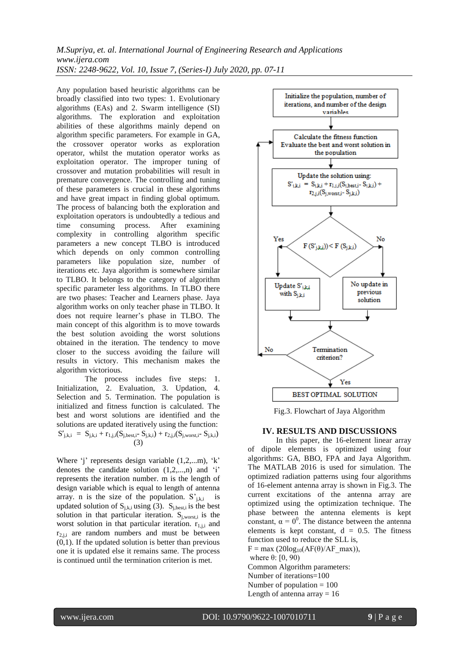*M.Supriya, et. al. International Journal of Engineering Research and Applications www.ijera.com ISSN: 2248-9622, Vol. 10, Issue 7, (Series-I) July 2020, pp. 07-11*

Any population based heuristic algorithms can be broadly classified into two types: 1. Evolutionary algorithms (EAs) and 2. Swarm intelligence (SI) algorithms. The exploration and exploitation abilities of these algorithms mainly depend on algorithm specific parameters. For example in GA, the crossover operator works as exploration operator, whilst the mutation operator works as exploitation operator. The improper tuning of crossover and mutation probabilities will result in premature convergence. The controlling and tuning of these parameters is crucial in these algorithms and have great impact in finding global optimum. The process of balancing both the exploration and exploitation operators is undoubtedly a tedious and time consuming process. After examining complexity in controlling algorithm specific parameters a new concept TLBO is introduced which depends on only common controlling parameters like population size, number of iterations etc. Jaya algorithm is somewhere similar to TLBO. It belongs to the category of algorithm specific parameter less algorithms. In TLBO there are two phases: Teacher and Learners phase. Jaya algorithm works on only teacher phase in TLBO. It does not require learner"s phase in TLBO. The main concept of this algorithm is to move towards the best solution avoiding the worst solutions obtained in the iteration. The tendency to move closer to the success avoiding the failure will results in victory. This mechanism makes the algorithm victorious.

The process includes five steps: 1. Initialization, 2. Evaluation, 3. Updation, 4. Selection and 5. Termination. The population is initialized and fitness function is calculated. The best and worst solutions are identified and the solutions are updated iteratively using the function:  $S'_{j,k,i} = S_{j,k,i} + r_{1,j,i}(S_{j,best,i}-S_{j,k,i}) + r_{2,j,i}(S_{j,worst,i}-S_{j,k,i})$ (3)

Where  $i'$  represents design variable  $(1,2,...m)$ ,  $k'$ denotes the candidate solution  $(1,2,...,n)$  and  $i'$ represents the iteration number. m is the length of design variable which is equal to length of antenna array. n is the size of the population.  $S'_{i,k,i}$  is updated solution of  $S_{i,k,i}$  using (3).  $S_{i,best,i}$  is the best solution in that particular iteration.  $S_{i, worst,i}$  is the worst solution in that particular iteration.  $r_{1,i,i}$  and  $r_{2,i,i}$  are random numbers and must be between (0,1). If the updated solution is better than previous one it is updated else it remains same. The process is continued until the termination criterion is met.



Fig.3. Flowchart of Jaya Algorithm

#### **IV. RESULTS AND DISCUSSIONS**

In this paper, the 16-element linear array of dipole elements is optimized using four algorithms: GA, BBO, FPA and Jaya Algorithm. The MATLAB 2016 is used for simulation. The optimized radiation patterns using four algorithms of 16-element antenna array is shown in Fig.3. The current excitations of the antenna array are optimized using the optimization technique. The phase between the antenna elements is kept constant,  $\alpha = 0^0$ . The distance between the antenna elements is kept constant,  $d = 0.5$ . The fitness function used to reduce the SLL is,  $F = max (20log_{10}(AF(\theta)/AF_{max}))$ , where  $θ$ : [0, 90) Common Algorithm parameters: Number of iterations=100 Number of population  $= 100$ Length of antenna array  $= 16$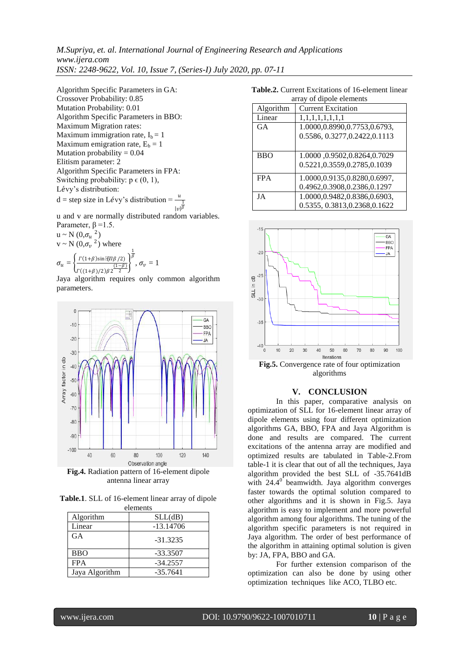*M.Supriya, et. al. International Journal of Engineering Research and Applications www.ijera.com ISSN: 2248-9622, Vol. 10, Issue 7, (Series-I) July 2020, pp. 07-11*

Algorithm Specific Parameters in GA: Crossover Probability: 0.85 Mutation Probability: 0.01 Algorithm Specific Parameters in BBO: Maximum Migration rates: Maximum immigration rate,  $I_b = 1$ Maximum emigration rate,  $E_b = 1$ Mutation probability = 0.04 Elitism parameter: 2 Algorithm Specific Parameters in FPA: Switching probability:  $p \in (0, 1)$ , Lévy's distribution:  $d = step size in Lévy's distribution =$  $|v|$ 1 β

u and v are normally distributed random variables. Parameter,  $\beta = 1.5$ .

 $u \sim N(0, \sigma_u^2)$  $v \sim N(0, \sigma_v^2)$  where  $\sigma_{\rm u}$  $\frac{\Gamma(1+\beta)\sin\left[\left(\frac{\pi}{\beta}/2\right)\right]}{(1-\beta)}\delta$  $(1-\beta)$ 1 ,  $\sigma_v = 1$ 

 $\Gamma((1+\beta)/2)\beta$ 2 2 Jaya algorithm requires only common algorithm parameters.



**Fig.4.** Radiation pattern of 16-element dipole antenna linear array

**Table.1**. SLL of 16-element linear array of dipole elements

| <u>en memo</u> |             |
|----------------|-------------|
| Algorithm      | SLL(dB)     |
| Linear         | $-13.14706$ |
| <b>GA</b>      | $-31.3235$  |
| <b>BBO</b>     | $-33.3507$  |
| <b>FPA</b>     | $-34.2557$  |
| Jaya Algorithm | $-35.7641$  |

**Table.2.** Current Excitations of 16-element linear  $\sigma$  of dipole elements

| array or urpore elements |                                |  |
|--------------------------|--------------------------------|--|
| Algorithm                | <b>Current Excitation</b>      |  |
| Linear                   | 1,1,1,1,1,1,1,1,1              |  |
| GA                       | 1.0000,0.8990,0.7753,0.6793,   |  |
|                          | 0.5586, 0.3277, 0.2422, 0.1113 |  |
|                          |                                |  |
| <b>BBO</b>               | 1.0000,0.9502,0.8264,0.7029    |  |
|                          | 0.5221,0.3559,0.2785,0.1039    |  |
| <b>FPA</b>               | 1.0000,0.9135,0.8280,0.6997,   |  |
|                          | 0.4962,0.3908,0.2386,0.1297    |  |
| JA                       | 1.0000,0.9482,0.8386,0.6903,   |  |
|                          | 0.5355, 0.3813, 0.2368, 0.1622 |  |



algorithms

#### **V. CONCLUSION**

In this paper, comparative analysis on optimization of SLL for 16-element linear array of dipole elements using four different optimization algorithms GA, BBO, FPA and Jaya Algorithm is done and results are compared. The current excitations of the antenna array are modified and optimized results are tabulated in Table-2.From table-1 it is clear that out of all the techniques, Jaya algorithm provided the best SLL of -35.7641dB with  $24.4^\circ$  beamwidth. Jaya algorithm converges faster towards the optimal solution compared to other algorithms and it is shown in Fig.5. Jaya algorithm is easy to implement and more powerful algorithm among four algorithms. The tuning of the algorithm specific parameters is not required in Jaya algorithm. The order of best performance of the algorithm in attaining optimal solution is given by: JA, FPA, BBO and GA.

For further extension comparison of the optimization can also be done by using other optimization techniques like ACO, TLBO etc.